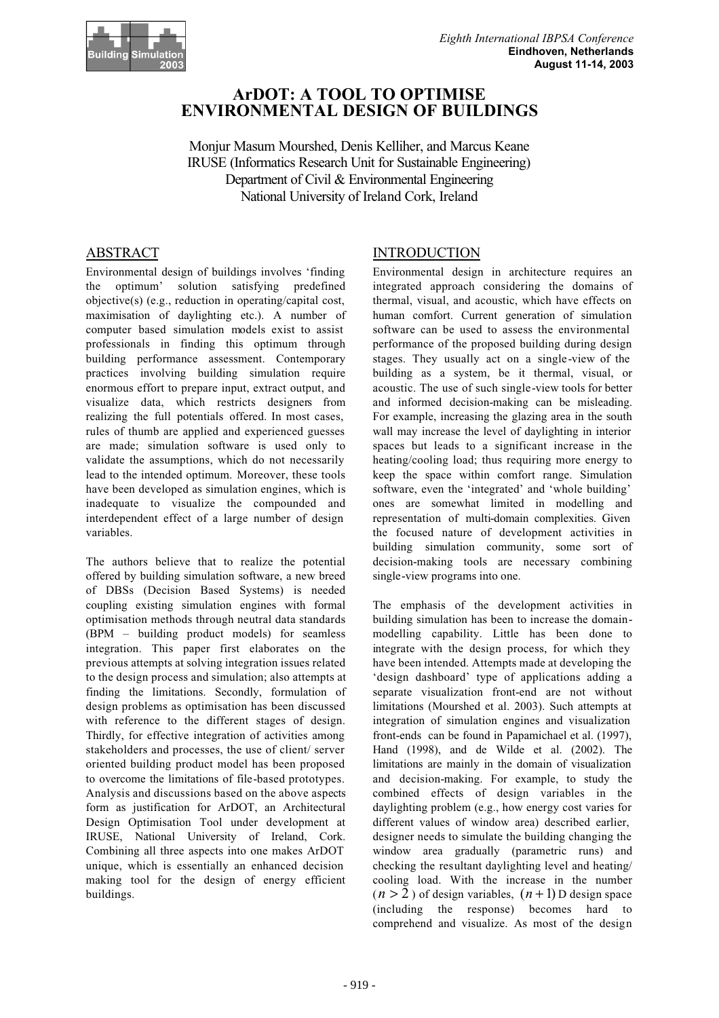

# **ArDOT: A TOOL TO OPTIMISE ENVIRONMENTAL DESIGN OF BUILDINGS**

Monjur Masum Mourshed, Denis Kelliher, and Marcus Keane IRUSE (Informatics Research Unit for Sustainable Engineering) Department of Civil & Environmental Engineering National University of Ireland Cork, Ireland

## ABSTRACT

Environmental design of buildings involves 'finding the optimum' solution satisfying predefined objective(s) (e.g., reduction in operating/capital cost, maximisation of daylighting etc.). A number of computer based simulation models exist to assist professionals in finding this optimum through building performance assessment. Contemporary practices involving building simulation require enormous effort to prepare input, extract output, and visualize data, which restricts designers from realizing the full potentials offered. In most cases, rules of thumb are applied and experienced guesses are made; simulation software is used only to validate the assumptions, which do not necessarily lead to the intended optimum. Moreover, these tools have been developed as simulation engines, which is inadequate to visualize the compounded and interdependent effect of a large number of design variables.

The authors believe that to realize the potential offered by building simulation software, a new breed of DBSs (Decision Based Systems) is needed coupling existing simulation engines with formal optimisation methods through neutral data standards (BPM – building product models) for seamless integration. This paper first elaborates on the previous attempts at solving integration issues related to the design process and simulation; also attempts at finding the limitations. Secondly, formulation of design problems as optimisation has been discussed with reference to the different stages of design. Thirdly, for effective integration of activities among stakeholders and processes, the use of client/ server oriented building product model has been proposed to overcome the limitations of file-based prototypes. Analysis and discussions based on the above aspects form as justification for ArDOT, an Architectural Design Optimisation Tool under development at IRUSE, National University of Ireland, Cork. Combining all three aspects into one makes ArDOT unique, which is essentially an enhanced decision making tool for the design of energy efficient buildings.

## INTRODUCTION

Environmental design in architecture requires an integrated approach considering the domains of thermal, visual, and acoustic, which have effects on human comfort. Current generation of simulation software can be used to assess the environmental performance of the proposed building during design stages. They usually act on a single-view of the building as a system, be it thermal, visual, or acoustic. The use of such single-view tools for better and informed decision-making can be misleading. For example, increasing the glazing area in the south wall may increase the level of daylighting in interior spaces but leads to a significant increase in the heating/cooling load; thus requiring more energy to keep the space within comfort range. Simulation software, even the 'integrated' and 'whole building' ones are somewhat limited in modelling and representation of multi-domain complexities. Given the focused nature of development activities in building simulation community, some sort of decision-making tools are necessary combining single-view programs into one.

The emphasis of the development activities in building simulation has been to increase the domainmodelling capability. Little has been done to integrate with the design process, for which they have been intended. Attempts made at developing the 'design dashboard' type of applications adding a separate visualization front-end are not without limitations (Mourshed et al. 2003). Such attempts at integration of simulation engines and visualization front-ends can be found in Papamichael et al. (1997), Hand (1998), and de Wilde et al. (2002). The limitations are mainly in the domain of visualization and decision-making. For example, to study the combined effects of design variables in the daylighting problem (e.g., how energy cost varies for different values of window area) described earlier, designer needs to simulate the building changing the window area gradually (parametric runs) and checking the resultant daylighting level and heating/ cooling load. With the increase in the number  $(n > 2)$  of design variables,  $(n + 1)$  D design space (including the response) becomes hard to comprehend and visualize. As most of the design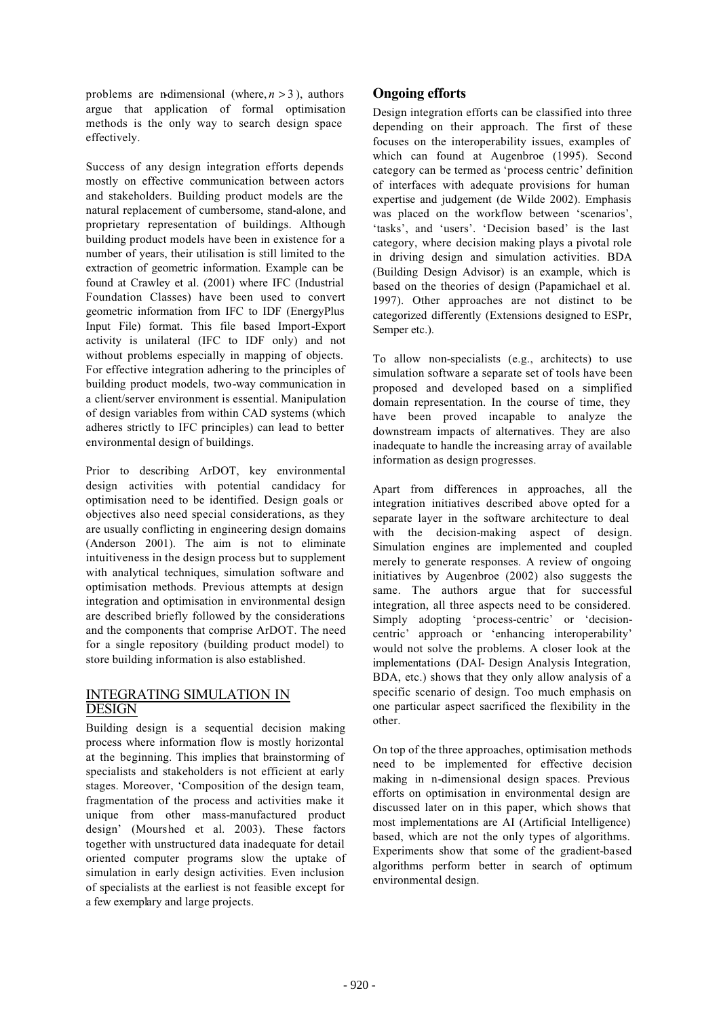problems are n-dimensional (where,  $n > 3$ ), authors argue that application of formal optimisation methods is the only way to search design space effectively.

Success of any design integration efforts depends mostly on effective communication between actors and stakeholders. Building product models are the natural replacement of cumbersome, stand-alone, and proprietary representation of buildings. Although building product models have been in existence for a number of years, their utilisation is still limited to the extraction of geometric information. Example can be found at Crawley et al. (2001) where IFC (Industrial Foundation Classes) have been used to convert geometric information from IFC to IDF (EnergyPlus Input File) format. This file based Import-Export activity is unilateral (IFC to IDF only) and not without problems especially in mapping of objects. For effective integration adhering to the principles of building product models, two-way communication in a client/server environment is essential. Manipulation of design variables from within CAD systems (which adheres strictly to IFC principles) can lead to better environmental design of buildings.

Prior to describing ArDOT, key environmental design activities with potential candidacy for optimisation need to be identified. Design goals or objectives also need special considerations, as they are usually conflicting in engineering design domains (Anderson 2001). The aim is not to eliminate intuitiveness in the design process but to supplement with analytical techniques, simulation software and optimisation methods. Previous attempts at design integration and optimisation in environmental design are described briefly followed by the considerations and the components that comprise ArDOT. The need for a single repository (building product model) to store building information is also established.

### INTEGRATING SIMULATION IN **DESIGN**

Building design is a sequential decision making process where information flow is mostly horizontal at the beginning. This implies that brainstorming of specialists and stakeholders is not efficient at early stages. Moreover, 'Composition of the design team, fragmentation of the process and activities make it unique from other mass-manufactured product design' (Mourshed et al. 2003). These factors together with unstructured data inadequate for detail oriented computer programs slow the uptake of simulation in early design activities. Even inclusion of specialists at the earliest is not feasible except for a few exemplary and large projects.

# **Ongoing efforts**

Design integration efforts can be classified into three depending on their approach. The first of these focuses on the interoperability issues, examples of which can found at Augenbroe (1995). Second category can be termed as 'process centric' definition of interfaces with adequate provisions for human expertise and judgement (de Wilde 2002). Emphasis was placed on the workflow between 'scenarios', 'tasks', and 'users'. 'Decision based' is the last category, where decision making plays a pivotal role in driving design and simulation activities. BDA (Building Design Advisor) is an example, which is based on the theories of design (Papamichael et al. 1997). Other approaches are not distinct to be categorized differently (Extensions designed to ESPr, Semper etc.).

To allow non-specialists (e.g., architects) to use simulation software a separate set of tools have been proposed and developed based on a simplified domain representation. In the course of time, they have been proved incapable to analyze the downstream impacts of alternatives. They are also inadequate to handle the increasing array of available information as design progresses.

Apart from differences in approaches, all the integration initiatives described above opted for a separate layer in the software architecture to deal with the decision-making aspect of design. Simulation engines are implemented and coupled merely to generate responses. A review of ongoing initiatives by Augenbroe (2002) also suggests the same. The authors argue that for successful integration, all three aspects need to be considered. Simply adopting 'process-centric' or 'decisioncentric' approach or 'enhancing interoperability' would not solve the problems. A closer look at the implementations (DAI- Design Analysis Integration, BDA, etc.) shows that they only allow analysis of a specific scenario of design. Too much emphasis on one particular aspect sacrificed the flexibility in the other.

On top of the three approaches, optimisation methods need to be implemented for effective decision making in n-dimensional design spaces. Previous efforts on optimisation in environmental design are discussed later on in this paper, which shows that most implementations are AI (Artificial Intelligence) based, which are not the only types of algorithms. Experiments show that some of the gradient-based algorithms perform better in search of optimum environmental design.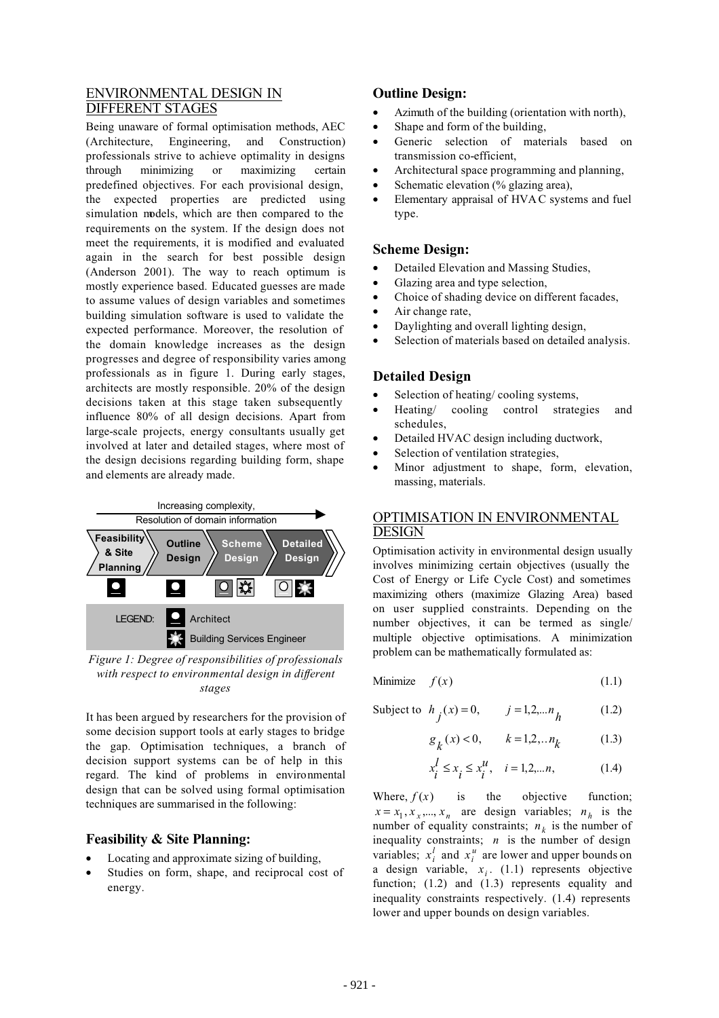## ENVIRONMENTAL DESIGN IN DIFFERENT STAGES

Being unaware of formal optimisation methods, AEC (Architecture, Engineering, and Construction) professionals strive to achieve optimality in designs through minimizing or maximizing certain predefined objectives. For each provisional design, the expected properties are predicted using simulation models, which are then compared to the requirements on the system. If the design does not meet the requirements, it is modified and evaluated again in the search for best possible design (Anderson 2001). The way to reach optimum is mostly experience based. Educated guesses are made to assume values of design variables and sometimes building simulation software is used to validate the expected performance. Moreover, the resolution of the domain knowledge increases as the design progresses and degree of responsibility varies among professionals as in figure 1. During early stages, architects are mostly responsible. 20% of the design decisions taken at this stage taken subsequently influence 80% of all design decisions. Apart from large-scale projects, energy consultants usually get involved at later and detailed stages, where most of the design decisions regarding building form, shape and elements are already made.



*Figure 1: Degree of responsibilities of professionals with respect to environmental design in different stages*

It has been argued by researchers for the provision of some decision support tools at early stages to bridge the gap. Optimisation techniques, a branch of decision support systems can be of help in this regard. The kind of problems in environmental design that can be solved using formal optimisation techniques are summarised in the following:

## **Feasibility & Site Planning:**

- Locating and approximate sizing of building,
- Studies on form, shape, and reciprocal cost of energy.

# **Outline Design:**

- Azimuth of the building (orientation with north),
- Shape and form of the building,
- Generic selection of materials based on transmission co-efficient,
- Architectural space programming and planning,
- Schematic elevation (% glazing area),
- Elementary appraisal of HVAC systems and fuel type.

### **Scheme Design:**

- Detailed Elevation and Massing Studies,
- Glazing area and type selection,
- Choice of shading device on different facades,
- Air change rate,
- Daylighting and overall lighting design,
- Selection of materials based on detailed analysis.

# **Detailed Design**

- Selection of heating/cooling systems,
- Heating/ cooling control strategies and schedules,
- Detailed HVAC design including ductwork,
- Selection of ventilation strategies,
- Minor adjustment to shape, form, elevation, massing, materials.

## OPTIMISATION IN ENVIRONMENTAL DESIGN

Optimisation activity in environmental design usually involves minimizing certain objectives (usually the Cost of Energy or Life Cycle Cost) and sometimes maximizing others (maximize Glazing Area) based on user supplied constraints. Depending on the number objectives, it can be termed as single/ multiple objective optimisations. A minimization problem can be mathematically formulated as:

$$
Minimize \t f(x) \t(1.1)
$$

Subject to 
$$
h_j(x) = 0
$$
,  $j = 1, 2, ..., n_h$  (1.2)

$$
g_k(x) < 0, \t k = 1,2,..n_k
$$
 (1.3)

$$
x_i^l \le x_i \le x_i^u, \quad i = 1, 2, \dots n,
$$
 (1.4)

Where,  $f(x)$  is the objective function;  $x = x_1, x_1, \dots, x_n$  are design variables;  $n_h$  is the number of equality constraints;  $n_k$  is the number of inequality constraints; *n* is the number of design variables;  $x_i^l$  and  $x_i^u$  are lower and upper bounds on a design variable,  $x_i$ . (1.1) represents objective function; (1.2) and (1.3) represents equality and inequality constraints respectively. (1.4) represents lower and upper bounds on design variables.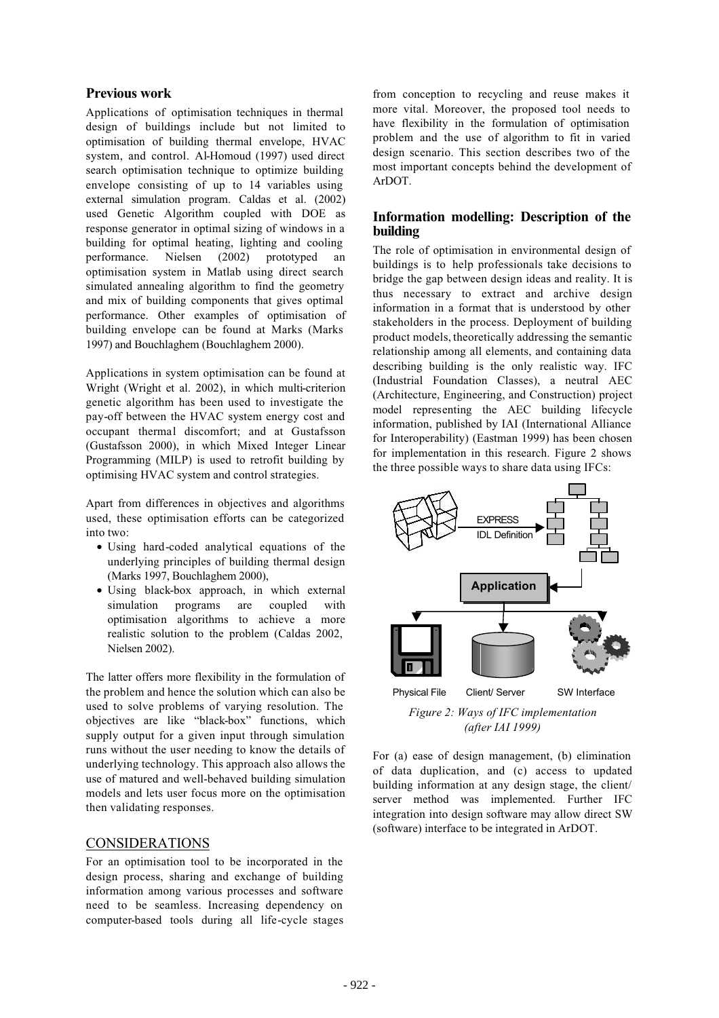### **Previous work**

Applications of optimisation techniques in thermal design of buildings include but not limited to optimisation of building thermal envelope, HVAC system, and control. Al-Homoud (1997) used direct search optimisation technique to optimize building envelope consisting of up to 14 variables using external simulation program. Caldas et al. (2002) used Genetic Algorithm coupled with DOE as response generator in optimal sizing of windows in a building for optimal heating, lighting and cooling performance. Nielsen (2002) prototyped an optimisation system in Matlab using direct search simulated annealing algorithm to find the geometry and mix of building components that gives optimal performance. Other examples of optimisation of building envelope can be found at Marks (Marks 1997) and Bouchlaghem (Bouchlaghem 2000).

Applications in system optimisation can be found at Wright (Wright et al. 2002), in which multi-criterion genetic algorithm has been used to investigate the pay-off between the HVAC system energy cost and occupant thermal discomfort; and at Gustafsson (Gustafsson 2000), in which Mixed Integer Linear Programming (MILP) is used to retrofit building by optimising HVAC system and control strategies.

Apart from differences in objectives and algorithms used, these optimisation efforts can be categorized into two:

- Using hard-coded analytical equations of the underlying principles of building thermal design (Marks 1997, Bouchlaghem 2000),
- Using black-box approach, in which external simulation programs are coupled with optimisation algorithms to achieve a more realistic solution to the problem (Caldas 2002, Nielsen 2002).

The latter offers more flexibility in the formulation of the problem and hence the solution which can also be used to solve problems of varying resolution. The objectives are like "black-box" functions, which supply output for a given input through simulation runs without the user needing to know the details of underlying technology. This approach also allows the use of matured and well-behaved building simulation models and lets user focus more on the optimisation then validating responses.

### CONSIDERATIONS

For an optimisation tool to be incorporated in the design process, sharing and exchange of building information among various processes and software need to be seamless. Increasing dependency on computer-based tools during all life-cycle stages

from conception to recycling and reuse makes it more vital. Moreover, the proposed tool needs to have flexibility in the formulation of optimisation problem and the use of algorithm to fit in varied design scenario. This section describes two of the most important concepts behind the development of ArDOT.

### **Information modelling: Description of the building**

The role of optimisation in environmental design of buildings is to help professionals take decisions to bridge the gap between design ideas and reality. It is thus necessary to extract and archive design information in a format that is understood by other stakeholders in the process. Deployment of building product models, theoretically addressing the semantic relationship among all elements, and containing data describing building is the only realistic way. IFC (Industrial Foundation Classes), a neutral AEC (Architecture, Engineering, and Construction) project model representing the AEC building lifecycle information, published by IAI (International Alliance for Interoperability) (Eastman 1999) has been chosen for implementation in this research. Figure 2 shows the three possible ways to share data using IFCs:



*Figure 2: Ways of IFC implementation (after IAI 1999)*

For (a) ease of design management, (b) elimination of data duplication, and (c) access to updated building information at any design stage, the client/ server method was implemented. Further IFC integration into design software may allow direct SW (software) interface to be integrated in ArDOT.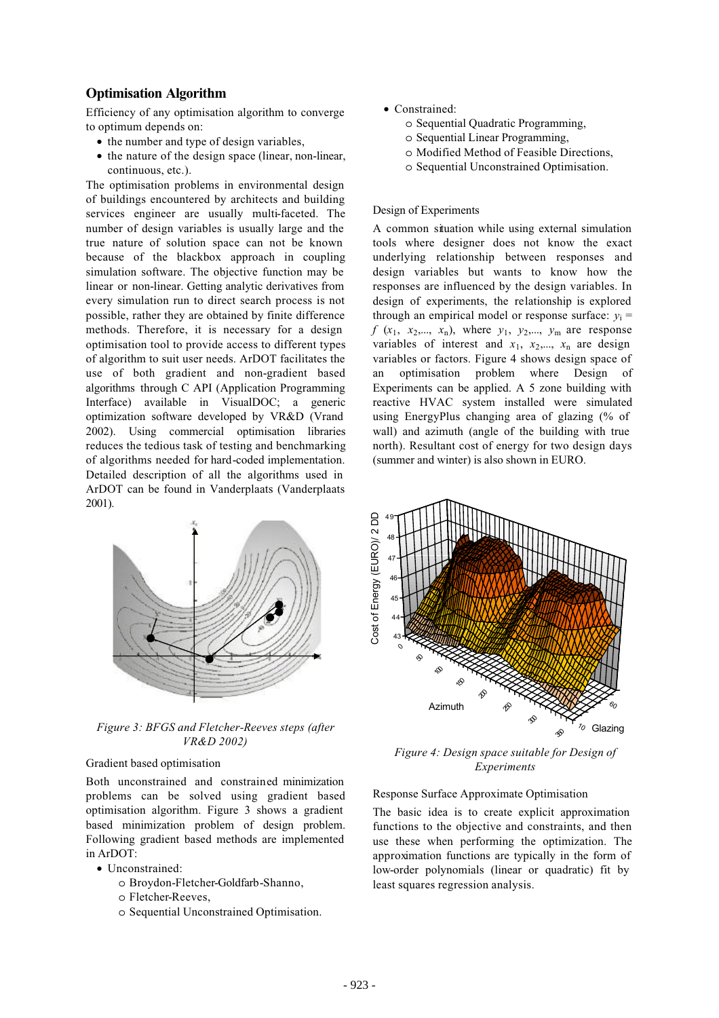### **Optimisation Algorithm**

Efficiency of any optimisation algorithm to converge to optimum depends on:

- the number and type of design variables.
- the nature of the design space (linear, non-linear, continuous, etc.).

The optimisation problems in environmental design of buildings encountered by architects and building services engineer are usually multi-faceted. The number of design variables is usually large and the true nature of solution space can not be known because of the blackbox approach in coupling simulation software. The objective function may be linear or non-linear. Getting analytic derivatives from every simulation run to direct search process is not possible, rather they are obtained by finite difference methods. Therefore, it is necessary for a design optimisation tool to provide access to different types of algorithm to suit user needs. ArDOT facilitates the use of both gradient and non-gradient based algorithms through C API (Application Programming Interface) available in VisualDOC; a generic optimization software developed by VR&D (Vrand 2002). Using commercial optimisation libraries reduces the tedious task of testing and benchmarking of algorithms needed for hard-coded implementation. Detailed description of all the algorithms used in ArDOT can be found in Vanderplaats (Vanderplaats 2001).



*Figure 3: BFGS and Fletcher-Reeves steps (after VR&D 2002)*

#### Gradient based optimisation

Both unconstrained and constrained minimization problems can be solved using gradient based optimisation algorithm. Figure 3 shows a gradient based minimization problem of design problem. Following gradient based methods are implemented in ArDOT:

- Unconstrained:
	- o Broydon-Fletcher-Goldfarb-Shanno,
	- o Fletcher-Reeves,
	- o Sequential Unconstrained Optimisation.
- Constrained:
	- o Sequential Quadratic Programming,
	- o Sequential Linear Programming,
	- o Modified Method of Feasible Directions,
	- o Sequential Unconstrained Optimisation.

#### Design of Experiments

A common situation while using external simulation tools where designer does not know the exact underlying relationship between responses and design variables but wants to know how the responses are influenced by the design variables. In design of experiments, the relationship is explored through an empirical model or response surface:  $v_i$  =  $f(x_1, x_2,..., x_n)$ , where  $y_1, y_2,..., y_m$  are response variables of interest and  $x_1$ ,  $x_2$ ,...,  $x_n$  are design variables or factors. Figure 4 shows design space of an optimisation problem where Design of Experiments can be applied. A 5 zone building with reactive HVAC system installed were simulated using EnergyPlus changing area of glazing (% of wall) and azimuth (angle of the building with true north). Resultant cost of energy for two design days (summer and winter) is also shown in EURO.



*Figure 4: Design space suitable for Design of Experiments*

#### Response Surface Approximate Optimisation

The basic idea is to create explicit approximation functions to the objective and constraints, and then use these when performing the optimization. The approximation functions are typically in the form of low-order polynomials (linear or quadratic) fit by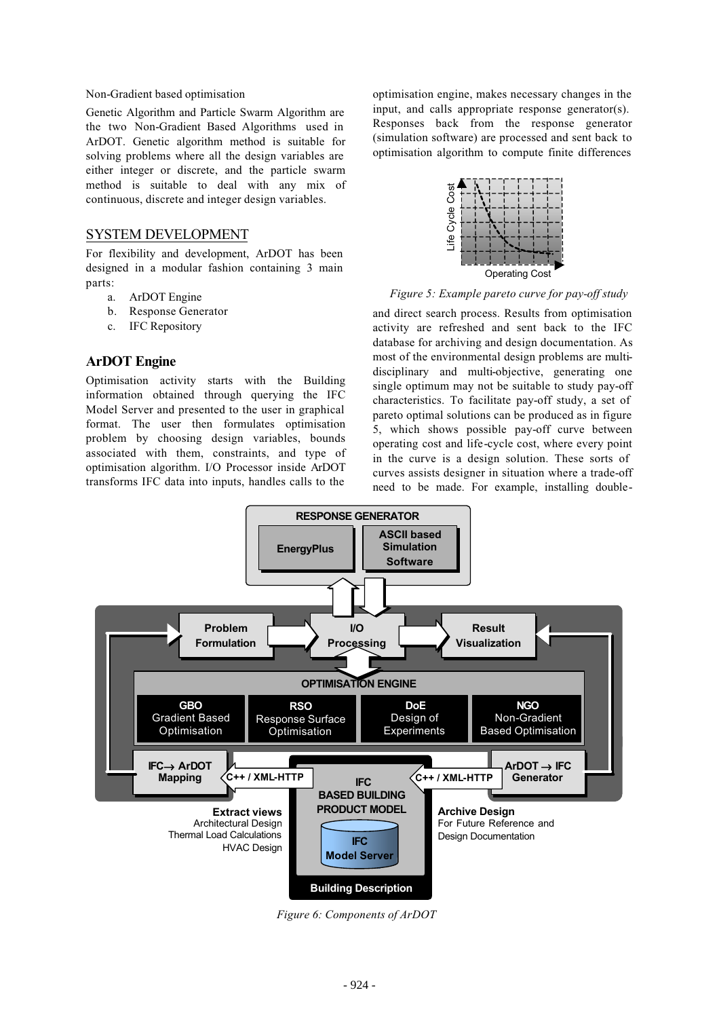#### Non-Gradient based optimisation

Genetic Algorithm and Particle Swarm Algorithm are the two Non-Gradient Based Algorithms used in ArDOT. Genetic algorithm method is suitable for solving problems where all the design variables are either integer or discrete, and the particle swarm method is suitable to deal with any mix of continuous, discrete and integer design variables.

### SYSTEM DEVELOPMENT

For flexibility and development, ArDOT has been designed in a modular fashion containing 3 main parts:

- a. ArDOT Engine
- b. Response Generator
- c. IFC Repository

#### **ArDOT Engine**

Optimisation activity starts with the Building information obtained through querying the IFC Model Server and presented to the user in graphical format. The user then formulates optimisation problem by choosing design variables, bounds associated with them, constraints, and type of optimisation algorithm. I/O Processor inside ArDOT transforms IFC data into inputs, handles calls to the

optimisation engine, makes necessary changes in the input, and calls appropriate response generator(s). Responses back from the response generator (simulation software) are processed and sent back to optimisation algorithm to compute finite differences



*Figure 5: Example pareto curve for pay-off study*

and direct search process. Results from optimisation activity are refreshed and sent back to the IFC database for archiving and design documentation. As most of the environmental design problems are multidisciplinary and multi-objective, generating one single optimum may not be suitable to study pay-off characteristics. To facilitate pay-off study, a set of pareto optimal solutions can be produced as in figure 5, which shows possible pay-off curve between operating cost and life-cycle cost, where every point in the curve is a design solution. These sorts of curves assists designer in situation where a trade-off need to be made. For example, installing double-



*Figure 6: Components of ArDOT*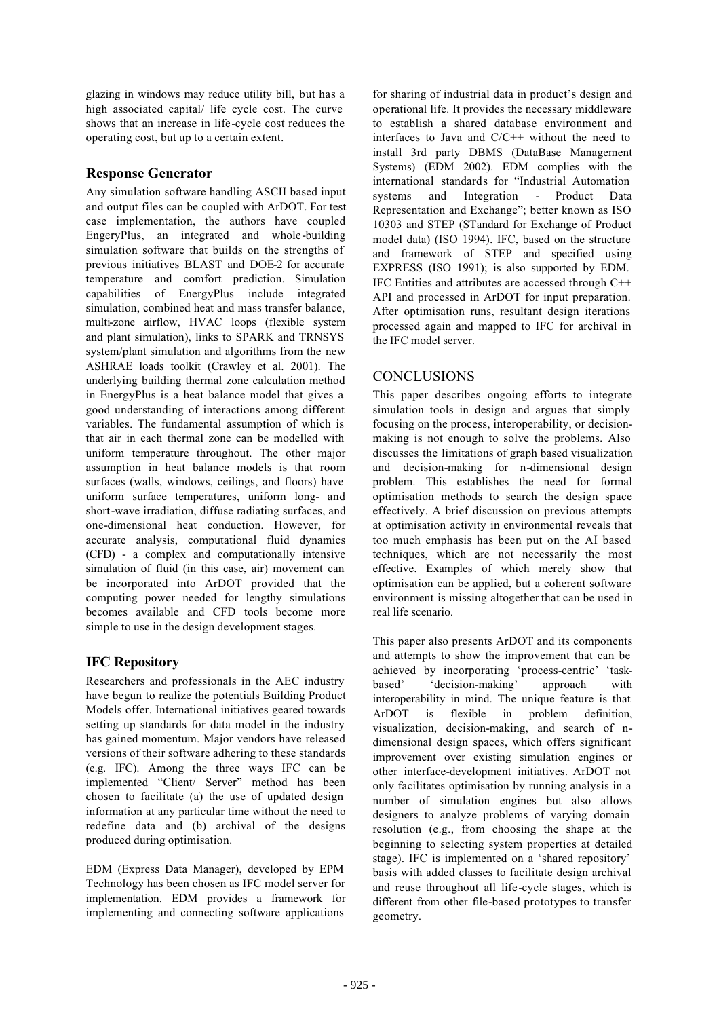glazing in windows may reduce utility bill, but has a high associated capital/ life cycle cost. The curve shows that an increase in life-cycle cost reduces the operating cost, but up to a certain extent.

## **Response Generator**

Any simulation software handling ASCII based input and output files can be coupled with ArDOT. For test case implementation, the authors have coupled EngeryPlus, an integrated and whole-building simulation software that builds on the strengths of previous initiatives BLAST and DOE-2 for accurate temperature and comfort prediction. Simulation capabilities of EnergyPlus include integrated simulation, combined heat and mass transfer balance, multi-zone airflow, HVAC loops (flexible system and plant simulation), links to SPARK and TRNSYS system/plant simulation and algorithms from the new ASHRAE loads toolkit (Crawley et al. 2001). The underlying building thermal zone calculation method in EnergyPlus is a heat balance model that gives a good understanding of interactions among different variables. The fundamental assumption of which is that air in each thermal zone can be modelled with uniform temperature throughout. The other major assumption in heat balance models is that room surfaces (walls, windows, ceilings, and floors) have uniform surface temperatures, uniform long- and short-wave irradiation, diffuse radiating surfaces, and one-dimensional heat conduction. However, for accurate analysis, computational fluid dynamics (CFD) - a complex and computationally intensive simulation of fluid (in this case, air) movement can be incorporated into ArDOT provided that the computing power needed for lengthy simulations becomes available and CFD tools become more simple to use in the design development stages.

# **IFC Repository**

Researchers and professionals in the AEC industry have begun to realize the potentials Building Product Models offer. International initiatives geared towards setting up standards for data model in the industry has gained momentum. Major vendors have released versions of their software adhering to these standards (e.g. IFC). Among the three ways IFC can be implemented "Client/ Server" method has been chosen to facilitate (a) the use of updated design information at any particular time without the need to redefine data and (b) archival of the designs produced during optimisation.

EDM (Express Data Manager), developed by EPM Technology has been chosen as IFC model server for implementation. EDM provides a framework for implementing and connecting software applications

for sharing of industrial data in product's design and operational life. It provides the necessary middleware to establish a shared database environment and interfaces to Java and C/C++ without the need to install 3rd party DBMS (DataBase Management Systems) (EDM 2002). EDM complies with the international standards for "Industrial Automation systems and Integration - Product Data Representation and Exchange"; better known as ISO 10303 and STEP (STandard for Exchange of Product model data) (ISO 1994). IFC, based on the structure and framework of STEP and specified using EXPRESS (ISO 1991); is also supported by EDM. IFC Entities and attributes are accessed through C++ API and processed in ArDOT for input preparation. After optimisation runs, resultant design iterations processed again and mapped to IFC for archival in the IFC model server.

# **CONCLUSIONS**

This paper describes ongoing efforts to integrate simulation tools in design and argues that simply focusing on the process, interoperability, or decisionmaking is not enough to solve the problems. Also discusses the limitations of graph based visualization and decision-making for n-dimensional design problem. This establishes the need for formal optimisation methods to search the design space effectively. A brief discussion on previous attempts at optimisation activity in environmental reveals that too much emphasis has been put on the AI based techniques, which are not necessarily the most effective. Examples of which merely show that optimisation can be applied, but a coherent software environment is missing altogether that can be used in real life scenario.

This paper also presents ArDOT and its components and attempts to show the improvement that can be achieved by incorporating 'process-centric' 'taskbased' 'decision-making' approach with interoperability in mind. The unique feature is that ArDOT is flexible in problem definition, visualization, decision-making, and search of ndimensional design spaces, which offers significant improvement over existing simulation engines or other interface-development initiatives. ArDOT not only facilitates optimisation by running analysis in a number of simulation engines but also allows designers to analyze problems of varying domain resolution (e.g., from choosing the shape at the beginning to selecting system properties at detailed stage). IFC is implemented on a 'shared repository' basis with added classes to facilitate design archival and reuse throughout all life-cycle stages, which is different from other file-based prototypes to transfer geometry.